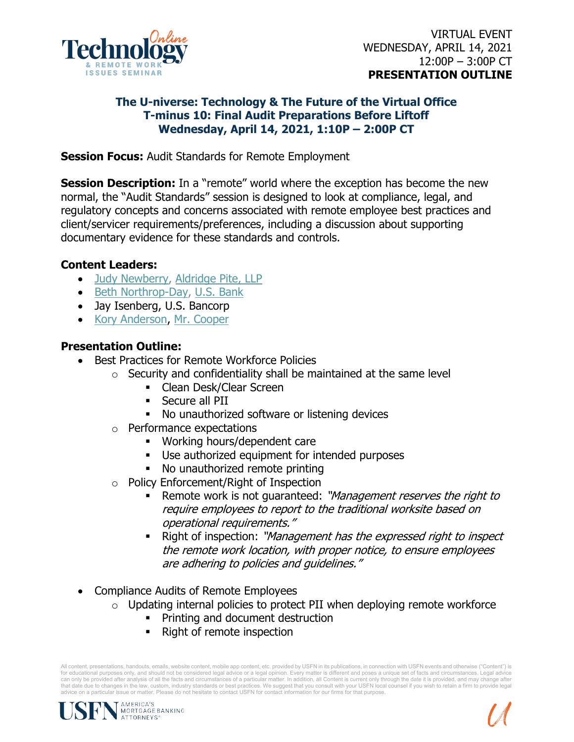

## **The U-niverse: Technology & The Future of the Virtual Office T-minus 10: Final Audit Preparations Before Liftoff Wednesday, April 14, 2021, 1:10P – 2:00P CT**

**Session Focus:** Audit Standards for Remote Employment

**Session Description:** In a "remote" world where the exception has become the new normal, the "Audit Standards" session is designed to look at compliance, legal, and regulatory concepts and concerns associated with remote employee best practices and client/servicer requirements/preferences, including a discussion about supporting documentary evidence for these standards and controls.

## **Content Leaders:**

- [Judy Newberry,](https://www.linkedin.com/in/judy-newberry-b5a12087/) [Aldridge Pite, LLP](https://www.linkedin.com/company/aldridge-pite-llp/)
- [Beth Northrop-Day,](https://www.linkedin.com/in/beth-northrop-day-5249841b/) [U.S. Bank](https://www.linkedin.com/company/us-bank/)
- Jay Isenberg, U.S. Bancorp
- [Kory Anderson,](https://www.linkedin.com/in/kory-anderson-ba605780/) [Mr. Cooper](https://www.linkedin.com/company/mrcooper/)

## **Presentation Outline:**

- Best Practices for Remote Workforce Policies
	- $\circ$  Security and confidentiality shall be maintained at the same level
		- **-** Clean Desk/Clear Screen
		- Secure all PII
		- No unauthorized software or listening devices
	- o Performance expectations
		- Working hours/dependent care
		- **Use authorized equipment for intended purposes**
		- No unauthorized remote printing
	- o Policy Enforcement/Right of Inspection
		- Remote work is not quaranteed: "Management reserves the right to require employees to report to the traditional worksite based on operational requirements."
		- Right of inspection: "Management has the expressed right to inspect the remote work location, with proper notice, to ensure employees are adhering to policies and guidelines."
- Compliance Audits of Remote Employees
	- $\circ$  Updating internal policies to protect PII when deploying remote workforce
		- **•** Printing and document destruction
		- Right of remote inspection

All content, presentations, handouts, emails, website content, mobile app content, etc. provided by USFN in its publications, in connection with USFN events and otherwise ("Content") is for educational purposes only, and should not be considered legal advice or a legal opinion. Every matter is different and poses a unique set of facts and circumstances. Legal advice can only be provided after analysis of all the facts and circumstances of a particular matter. In addition, all Content is current only through the date it is provided, and may change after<br>that date due to changes in the advice on a particular issue or matter. Please do not hesitate to contact USFN for contact information for our firms for that purpose.